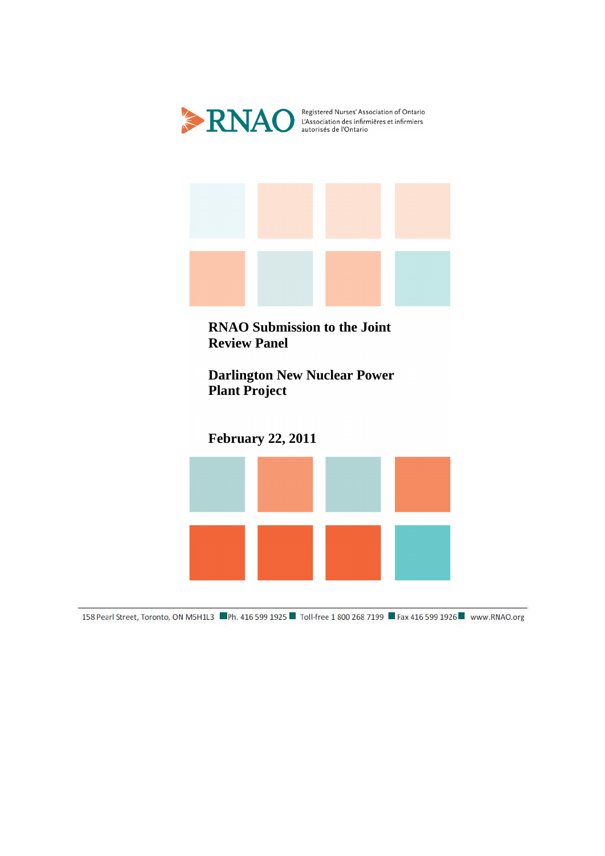



**RNAO Submission to the Joint Review Panel** 

**Darlington New Nuclear Power Plant Project** 

**February 22, 2011** 



158 Pearl Street, Toronto, ON M5H1L3 Ph. 416 599 1925 Toll-free 1 800 268 7199 Fax 416 599 1926 Www.RNAO.org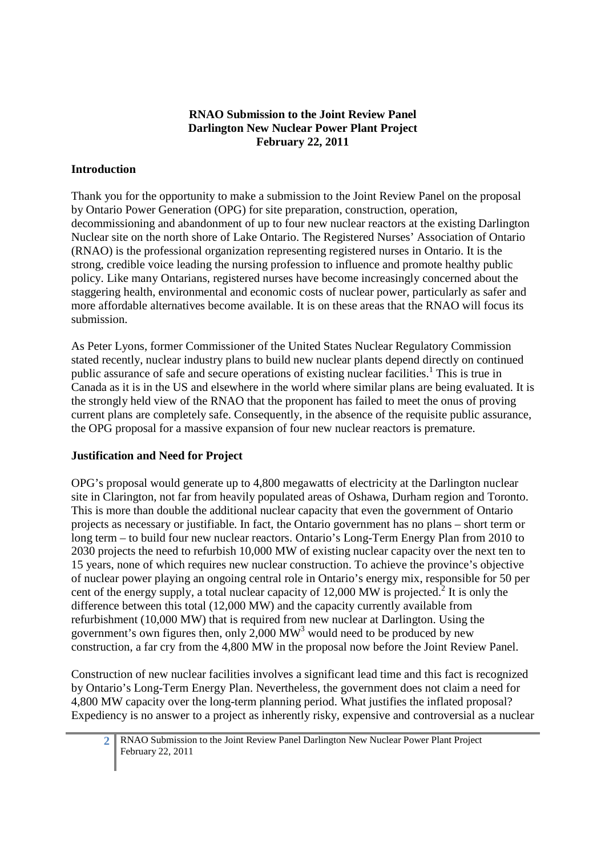# **RNAO Submission to the Joint Review Panel Darlington New Nuclear Power Plant Project February 22, 2011**

#### **Introduction**

Thank you for the opportunity to make a submission to the Joint Review Panel on the proposal by Ontario Power Generation (OPG) for site preparation, construction, operation, decommissioning and abandonment of up to four new nuclear reactors at the existing Darlington Nuclear site on the north shore of Lake Ontario. The Registered Nurses' Association of Ontario (RNAO) is the professional organization representing registered nurses in Ontario. It is the strong, credible voice leading the nursing profession to influence and promote healthy public policy. Like many Ontarians, registered nurses have become increasingly concerned about the staggering health, environmental and economic costs of nuclear power, particularly as safer and more affordable alternatives become available. It is on these areas that the RNAO will focus its submission.

As Peter Lyons, former Commissioner of the United States Nuclear Regulatory Commission stated recently, nuclear industry plans to build new nuclear plants depend directly on continued public assurance of safe and secure operations of existing nuclear facilities.<sup>1</sup> This is true in Canada as it is in the US and elsewhere in the world where similar plans are being evaluated. It is the strongly held view of the RNAO that the proponent has failed to meet the onus of proving current plans are completely safe. Consequently, in the absence of the requisite public assurance, the OPG proposal for a massive expansion of four new nuclear reactors is premature.

#### **Justification and Need for Project**

OPG's proposal would generate up to 4,800 megawatts of electricity at the Darlington nuclear site in Clarington, not far from heavily populated areas of Oshawa, Durham region and Toronto. This is more than double the additional nuclear capacity that even the government of Ontario projects as necessary or justifiable. In fact, the Ontario government has no plans – short term or long term – to build four new nuclear reactors. Ontario's Long-Term Energy Plan from 2010 to 2030 projects the need to refurbish 10,000 MW of existing nuclear capacity over the next ten to 15 years, none of which requires new nuclear construction. To achieve the province's objective of nuclear power playing an ongoing central role in Ontario's energy mix, responsible for 50 per cent of the energy supply, a total nuclear capacity of  $12,000$  MW is projected.<sup>2</sup> It is only the difference between this total (12,000 MW) and the capacity currently available from refurbishment (10,000 MW) that is required from new nuclear at Darlington. Using the government's own figures then, only  $2,000$  MW<sup>3</sup> would need to be produced by new construction, a far cry from the 4,800 MW in the proposal now before the Joint Review Panel.

Construction of new nuclear facilities involves a significant lead time and this fact is recognized by Ontario's Long-Term Energy Plan. Nevertheless, the government does not claim a need for 4,800 MW capacity over the long-term planning period. What justifies the inflated proposal? Expediency is no answer to a project as inherently risky, expensive and controversial as a nuclear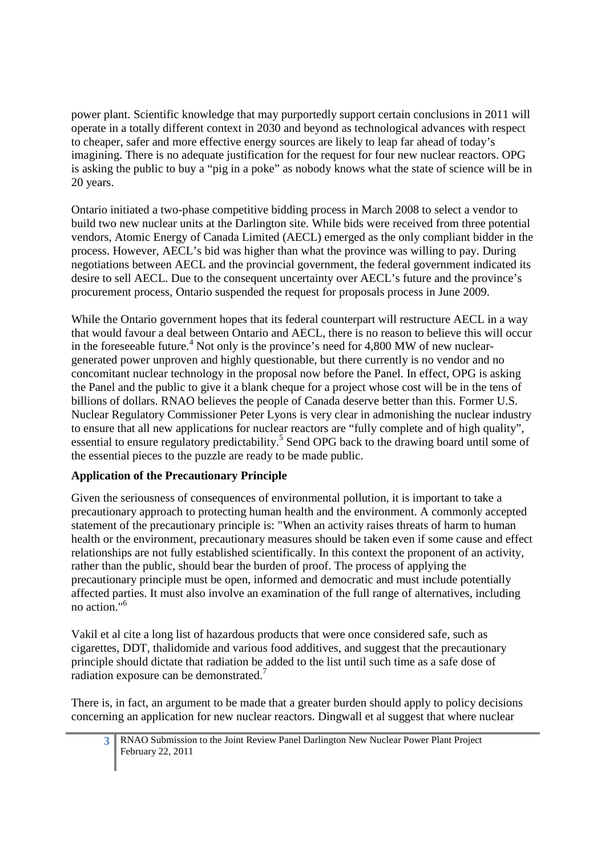power plant. Scientific knowledge that may purportedly support certain conclusions in 2011 will operate in a totally different context in 2030 and beyond as technological advances with respect to cheaper, safer and more effective energy sources are likely to leap far ahead of today's imagining. There is no adequate justification for the request for four new nuclear reactors. OPG is asking the public to buy a "pig in a poke" as nobody knows what the state of science will be in 20 years.

Ontario initiated a two-phase competitive bidding process in March 2008 to select a vendor to build two new nuclear units at the Darlington site. While bids were received from three potential vendors, Atomic Energy of Canada Limited (AECL) emerged as the only compliant bidder in the process. However, AECL's bid was higher than what the province was willing to pay. During negotiations between AECL and the provincial government, the federal government indicated its desire to sell AECL. Due to the consequent uncertainty over AECL's future and the province's procurement process, Ontario suspended the request for proposals process in June 2009.

While the Ontario government hopes that its federal counterpart will restructure AECL in a way that would favour a deal between Ontario and AECL, there is no reason to believe this will occur in the foreseeable future.<sup>4</sup> Not only is the province's need for 4,800 MW of new nucleargenerated power unproven and highly questionable, but there currently is no vendor and no concomitant nuclear technology in the proposal now before the Panel. In effect, OPG is asking the Panel and the public to give it a blank cheque for a project whose cost will be in the tens of billions of dollars. RNAO believes the people of Canada deserve better than this. Former U.S. Nuclear Regulatory Commissioner Peter Lyons is very clear in admonishing the nuclear industry to ensure that all new applications for nuclear reactors are "fully complete and of high quality", essential to ensure regulatory predictability.<sup>5</sup> Send OPG back to the drawing board until some of the essential pieces to the puzzle are ready to be made public.

# **Application of the Precautionary Principle**

Given the seriousness of consequences of environmental pollution, it is important to take a precautionary approach to protecting human health and the environment. A commonly accepted statement of the precautionary principle is: "When an activity raises threats of harm to human health or the environment, precautionary measures should be taken even if some cause and effect relationships are not fully established scientifically. In this context the proponent of an activity, rather than the public, should bear the burden of proof. The process of applying the precautionary principle must be open, informed and democratic and must include potentially affected parties. It must also involve an examination of the full range of alternatives, including no action."<sup>6</sup>

Vakil et al cite a long list of hazardous products that were once considered safe, such as cigarettes, DDT, thalidomide and various food additives, and suggest that the precautionary principle should dictate that radiation be added to the list until such time as a safe dose of radiation exposure can be demonstrated.<sup>7</sup>

There is, in fact, an argument to be made that a greater burden should apply to policy decisions concerning an application for new nuclear reactors. Dingwall et al suggest that where nuclear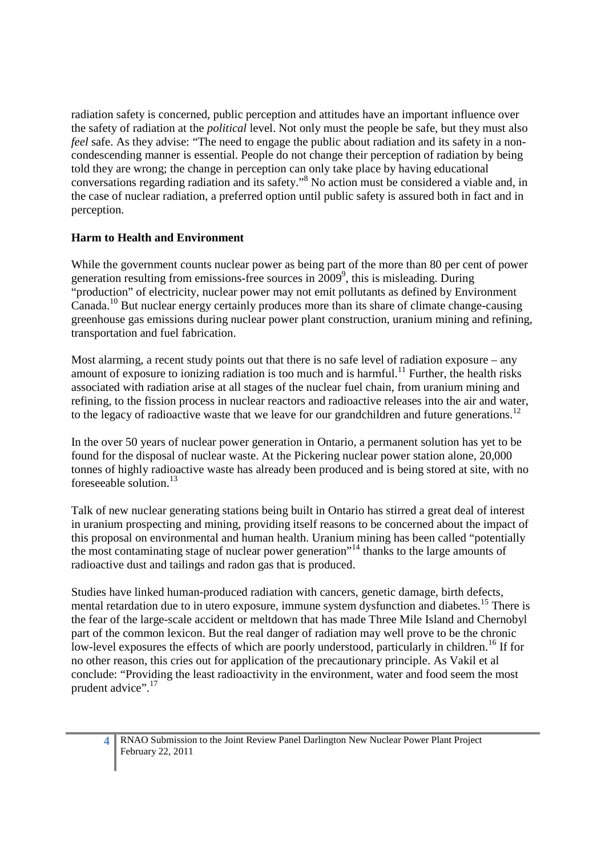radiation safety is concerned, public perception and attitudes have an important influence over the safety of radiation at the *political* level. Not only must the people be safe, but they must also *feel* safe. As they advise: "The need to engage the public about radiation and its safety in a noncondescending manner is essential. People do not change their perception of radiation by being told they are wrong; the change in perception can only take place by having educational conversations regarding radiation and its safety."<sup>8</sup> No action must be considered a viable and, in the case of nuclear radiation, a preferred option until public safety is assured both in fact and in perception.

# **Harm to Health and Environment**

While the government counts nuclear power as being part of the more than 80 per cent of power generation resulting from emissions-free sources in 2009<sup>9</sup>, this is misleading. During "production" of electricity, nuclear power may not emit pollutants as defined by Environment Canada.<sup>10</sup> But nuclear energy certainly produces more than its share of climate change-causing greenhouse gas emissions during nuclear power plant construction, uranium mining and refining, transportation and fuel fabrication.

Most alarming, a recent study points out that there is no safe level of radiation exposure – any amount of exposure to ionizing radiation is too much and is harmful.<sup>11</sup> Further, the health risks associated with radiation arise at all stages of the nuclear fuel chain, from uranium mining and refining, to the fission process in nuclear reactors and radioactive releases into the air and water, to the legacy of radioactive waste that we leave for our grandchildren and future generations.<sup>12</sup>

In the over 50 years of nuclear power generation in Ontario, a permanent solution has yet to be found for the disposal of nuclear waste. At the Pickering nuclear power station alone, 20,000 tonnes of highly radioactive waste has already been produced and is being stored at site, with no foreseeable solution.<sup>13</sup>

Talk of new nuclear generating stations being built in Ontario has stirred a great deal of interest in uranium prospecting and mining, providing itself reasons to be concerned about the impact of this proposal on environmental and human health. Uranium mining has been called "potentially the most contaminating stage of nuclear power generation"<sup>14</sup> thanks to the large amounts of radioactive dust and tailings and radon gas that is produced.

Studies have linked human-produced radiation with cancers, genetic damage, birth defects, mental retardation due to in utero exposure, immune system dysfunction and diabetes.<sup>15</sup> There is the fear of the large-scale accident or meltdown that has made Three Mile Island and Chernobyl part of the common lexicon. But the real danger of radiation may well prove to be the chronic low-level exposures the effects of which are poorly understood, particularly in children.<sup>16</sup> If for no other reason, this cries out for application of the precautionary principle. As Vakil et al conclude: "Providing the least radioactivity in the environment, water and food seem the most prudent advice".<sup>17</sup>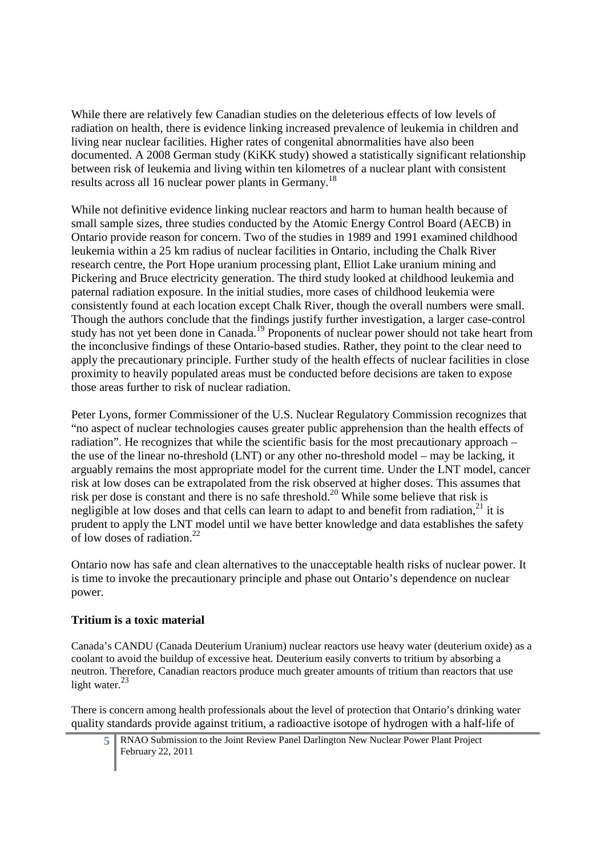While there are relatively few Canadian studies on the deleterious effects of low levels of radiation on health, there is evidence linking increased prevalence of leukemia in children and living near nuclear facilities. Higher rates of congenital abnormalities have also been documented. A 2008 German study (KiKK study) showed a statistically significant relationship between risk of leukemia and living within ten kilometres of a nuclear plant with consistent results across all 16 nuclear power plants in Germany.<sup>18</sup>

While not definitive evidence linking nuclear reactors and harm to human health because of small sample sizes, three studies conducted by the Atomic Energy Control Board (AECB) in Ontario provide reason for concern. Two of the studies in 1989 and 1991 examined childhood leukemia within a 25 km radius of nuclear facilities in Ontario, including the Chalk River research centre, the Port Hope uranium processing plant, Elliot Lake uranium mining and Pickering and Bruce electricity generation. The third study looked at childhood leukemia and paternal radiation exposure. In the initial studies, more cases of childhood leukemia were consistently found at each location except Chalk River, though the overall numbers were small. Though the authors conclude that the findings justify further investigation, a larger case-control study has not yet been done in Canada.<sup>19</sup> Proponents of nuclear power should not take heart from the inconclusive findings of these Ontario-based studies. Rather, they point to the clear need to apply the precautionary principle. Further study of the health effects of nuclear facilities in close proximity to heavily populated areas must be conducted before decisions are taken to expose those areas further to risk of nuclear radiation.

Peter Lyons, former Commissioner of the U.S. Nuclear Regulatory Commission recognizes that "no aspect of nuclear technologies causes greater public apprehension than the health effects of radiation". He recognizes that while the scientific basis for the most precautionary approach – the use of the linear no-threshold (LNT) or any other no-threshold model – may be lacking, it arguably remains the most appropriate model for the current time. Under the LNT model, cancer risk at low doses can be extrapolated from the risk observed at higher doses. This assumes that risk per dose is constant and there is no safe threshold.<sup>20</sup> While some believe that risk is negligible at low doses and that cells can learn to adapt to and benefit from radiation,  $21$  it is prudent to apply the LNT model until we have better knowledge and data establishes the safety of low doses of radiation.<sup>2</sup>

Ontario now has safe and clean alternatives to the unacceptable health risks of nuclear power. It is time to invoke the precautionary principle and phase out Ontario's dependence on nuclear power.

# **Tritium is a toxic material**

Canada's CANDU (Canada Deuterium Uranium) nuclear reactors use heavy water (deuterium oxide) as a coolant to avoid the buildup of excessive heat. Deuterium easily converts to tritium by absorbing a neutron. Therefore, Canadian reactors produce much greater amounts of tritium than reactors that use light water. $^{23}$ 

There is concern among health professionals about the level of protection that Ontario's drinking water quality standards provide against tritium, a radioactive isotope of hydrogen with a half-life of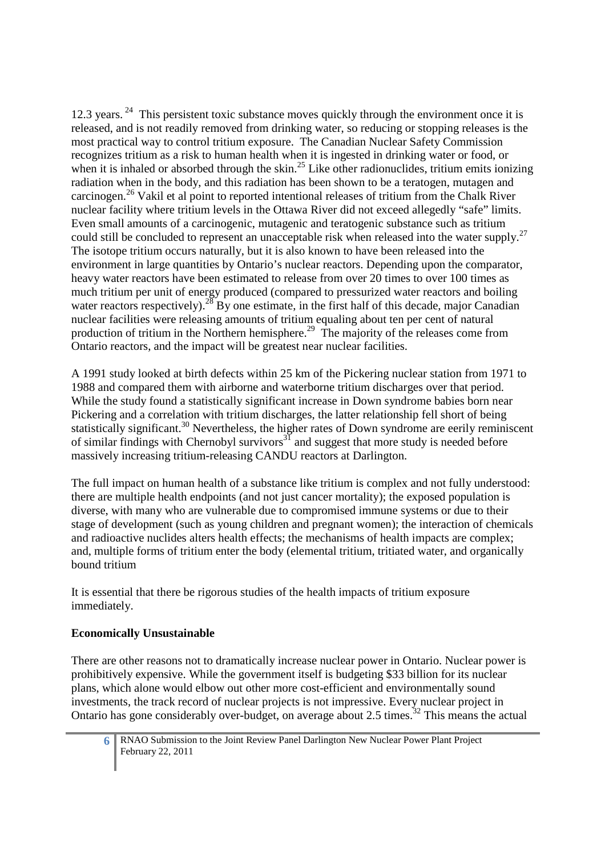12.3 years.<sup>24</sup> This persistent toxic substance moves quickly through the environment once it is released, and is not readily removed from drinking water, so reducing or stopping releases is the most practical way to control tritium exposure. The Canadian Nuclear Safety Commission recognizes tritium as a risk to human health when it is ingested in drinking water or food, or when it is inhaled or absorbed through the skin.<sup>25</sup> Like other radionuclides, tritium emits ionizing radiation when in the body, and this radiation has been shown to be a teratogen, mutagen and carcinogen.<sup>26</sup> Vakil et al point to reported intentional releases of tritium from the Chalk River nuclear facility where tritium levels in the Ottawa River did not exceed allegedly "safe" limits. Even small amounts of a carcinogenic, mutagenic and teratogenic substance such as tritium could still be concluded to represent an unacceptable risk when released into the water supply.<sup>27</sup> The isotope tritium occurs naturally, but it is also known to have been released into the environment in large quantities by Ontario's nuclear reactors. Depending upon the comparator, heavy water reactors have been estimated to release from over 20 times to over 100 times as much tritium per unit of energy produced (compared to pressurized water reactors and boiling water reactors respectively).<sup>28</sup> By one estimate, in the first half of this decade, major Canadian nuclear facilities were releasing amounts of tritium equaling about ten per cent of natural production of tritium in the Northern hemisphere.<sup>29</sup> The majority of the releases come from Ontario reactors, and the impact will be greatest near nuclear facilities.

A 1991 study looked at birth defects within 25 km of the Pickering nuclear station from 1971 to 1988 and compared them with airborne and waterborne tritium discharges over that period. While the study found a statistically significant increase in Down syndrome babies born near Pickering and a correlation with tritium discharges, the latter relationship fell short of being statistically significant.<sup>30</sup> Nevertheless, the higher rates of Down syndrome are eerily reminiscent of similar findings with Chernobyl survivors<sup>31</sup> and suggest that more study is needed before massively increasing tritium-releasing CANDU reactors at Darlington.

The full impact on human health of a substance like tritium is complex and not fully understood: there are multiple health endpoints (and not just cancer mortality); the exposed population is diverse, with many who are vulnerable due to compromised immune systems or due to their stage of development (such as young children and pregnant women); the interaction of chemicals and radioactive nuclides alters health effects; the mechanisms of health impacts are complex; and, multiple forms of tritium enter the body (elemental tritium, tritiated water, and organically bound tritium

It is essential that there be rigorous studies of the health impacts of tritium exposure immediately.

# **Economically Unsustainable**

There are other reasons not to dramatically increase nuclear power in Ontario. Nuclear power is prohibitively expensive. While the government itself is budgeting \$33 billion for its nuclear plans, which alone would elbow out other more cost-efficient and environmentally sound investments, the track record of nuclear projects is not impressive. Every nuclear project in Ontario has gone considerably over-budget, on average about 2.5 times.<sup>32</sup> This means the actual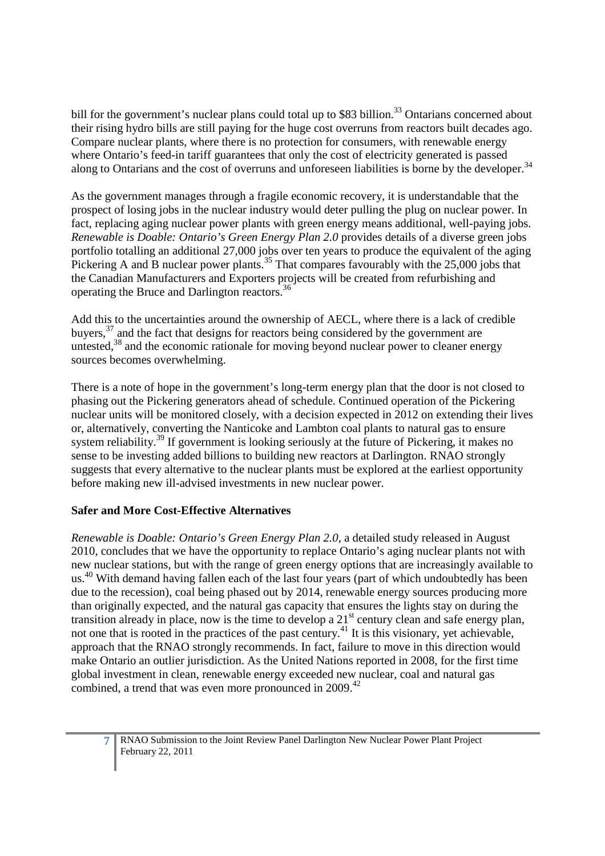bill for the government's nuclear plans could total up to \$83 billion.<sup>33</sup> Ontarians concerned about their rising hydro bills are still paying for the huge cost overruns from reactors built decades ago. Compare nuclear plants, where there is no protection for consumers, with renewable energy where Ontario's feed-in tariff guarantees that only the cost of electricity generated is passed along to Ontarians and the cost of overruns and unforeseen liabilities is borne by the developer.<sup>34</sup>

As the government manages through a fragile economic recovery, it is understandable that the prospect of losing jobs in the nuclear industry would deter pulling the plug on nuclear power. In fact, replacing aging nuclear power plants with green energy means additional, well-paying jobs. *Renewable is Doable: Ontario's Green Energy Plan 2.0* provides details of a diverse green jobs portfolio totalling an additional 27,000 jobs over ten years to produce the equivalent of the aging Pickering A and B nuclear power plants.<sup>35</sup> That compares favourably with the 25,000 jobs that the Canadian Manufacturers and Exporters projects will be created from refurbishing and operating the Bruce and Darlington reactors.<sup>36</sup>

Add this to the uncertainties around the ownership of AECL, where there is a lack of credible buyers, $37$  and the fact that designs for reactors being considered by the government are untested, $38$  and the economic rationale for moving beyond nuclear power to cleaner energy sources becomes overwhelming.

There is a note of hope in the government's long-term energy plan that the door is not closed to phasing out the Pickering generators ahead of schedule. Continued operation of the Pickering nuclear units will be monitored closely, with a decision expected in 2012 on extending their lives or, alternatively, converting the Nanticoke and Lambton coal plants to natural gas to ensure system reliability.<sup>39</sup> If government is looking seriously at the future of Pickering, it makes no sense to be investing added billions to building new reactors at Darlington. RNAO strongly suggests that every alternative to the nuclear plants must be explored at the earliest opportunity before making new ill-advised investments in new nuclear power.

# **Safer and More Cost-Effective Alternatives**

*Renewable is Doable: Ontario's Green Energy Plan 2.0*, a detailed study released in August 2010, concludes that we have the opportunity to replace Ontario's aging nuclear plants not with new nuclear stations, but with the range of green energy options that are increasingly available to us.<sup>40</sup> With demand having fallen each of the last four years (part of which undoubtedly has been due to the recession), coal being phased out by 2014, renewable energy sources producing more than originally expected, and the natural gas capacity that ensures the lights stay on during the transition already in place, now is the time to develop a  $21<sup>st</sup>$  century clean and safe energy plan, not one that is rooted in the practices of the past century.<sup>41</sup> It is this visionary, yet achievable, approach that the RNAO strongly recommends. In fact, failure to move in this direction would make Ontario an outlier jurisdiction. As the United Nations reported in 2008, for the first time global investment in clean, renewable energy exceeded new nuclear, coal and natural gas combined, a trend that was even more pronounced in 2009.<sup>42</sup>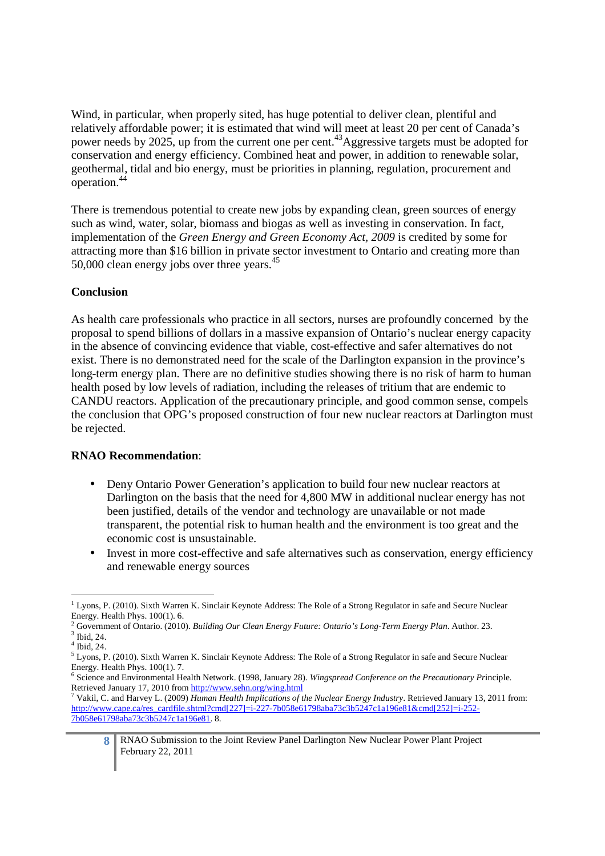Wind, in particular, when properly sited, has huge potential to deliver clean, plentiful and relatively affordable power; it is estimated that wind will meet at least 20 per cent of Canada's power needs by 2025, up from the current one per cent.<sup>43</sup>Aggressive targets must be adopted for conservation and energy efficiency. Combined heat and power, in addition to renewable solar, geothermal, tidal and bio energy, must be priorities in planning, regulation, procurement and operation.<sup>44</sup>

There is tremendous potential to create new jobs by expanding clean, green sources of energy such as wind, water, solar, biomass and biogas as well as investing in conservation. In fact, implementation of the *Green Energy and Green Economy Act, 2009* is credited by some for attracting more than \$16 billion in private sector investment to Ontario and creating more than 50,000 clean energy jobs over three years.<sup>45</sup>

#### **Conclusion**

As health care professionals who practice in all sectors, nurses are profoundly concerned by the proposal to spend billions of dollars in a massive expansion of Ontario's nuclear energy capacity in the absence of convincing evidence that viable, cost-effective and safer alternatives do not exist. There is no demonstrated need for the scale of the Darlington expansion in the province's long-term energy plan. There are no definitive studies showing there is no risk of harm to human health posed by low levels of radiation, including the releases of tritium that are endemic to CANDU reactors. Application of the precautionary principle, and good common sense, compels the conclusion that OPG's proposed construction of four new nuclear reactors at Darlington must be rejected.

#### **RNAO Recommendation**:

- Deny Ontario Power Generation's application to build four new nuclear reactors at Darlington on the basis that the need for 4,800 MW in additional nuclear energy has not been justified, details of the vendor and technology are unavailable or not made transparent, the potential risk to human health and the environment is too great and the economic cost is unsustainable.
- Invest in more cost-effective and safe alternatives such as conservation, energy efficiency and renewable energy sources

<sup>-</sup><sup>1</sup> Lyons, P. (2010). Sixth Warren K. Sinclair Keynote Address: The Role of a Strong Regulator in safe and Secure Nuclear Energy. Health Phys. 100(1). 6.

<sup>2</sup> Government of Ontario. (2010). *Building Our Clean Energy Future: Ontario's Long-Term Energy Plan*. Author. 23.  $3$  Ibid, 24.

<sup>4</sup> Ibid, 24.

<sup>&</sup>lt;sup>5</sup> Lyons, P. (2010). Sixth Warren K. Sinclair Keynote Address: The Role of a Strong Regulator in safe and Secure Nuclear Energy. Health Phys. 100(1). 7.

<sup>6</sup> Science and Environmental Health Network. (1998, January 28). *Wingspread Conference on the Precautionary Pr*inciple. Retrieved January 17, 2010 from http://www.sehn.org/wing.html

<sup>7</sup> Vakil, C. and Harvey L. (2009) *Human Health Implications of the Nuclear Energy Industry*. Retrieved January 13, 2011 from: http://www.cape.ca/res\_cardfile.shtml?cmd[227]=i-227-7b058e61798aba73c3b5247c1a196e81&cmd[252]=i-252-7b058e61798aba73c3b5247c1a196e81. 8.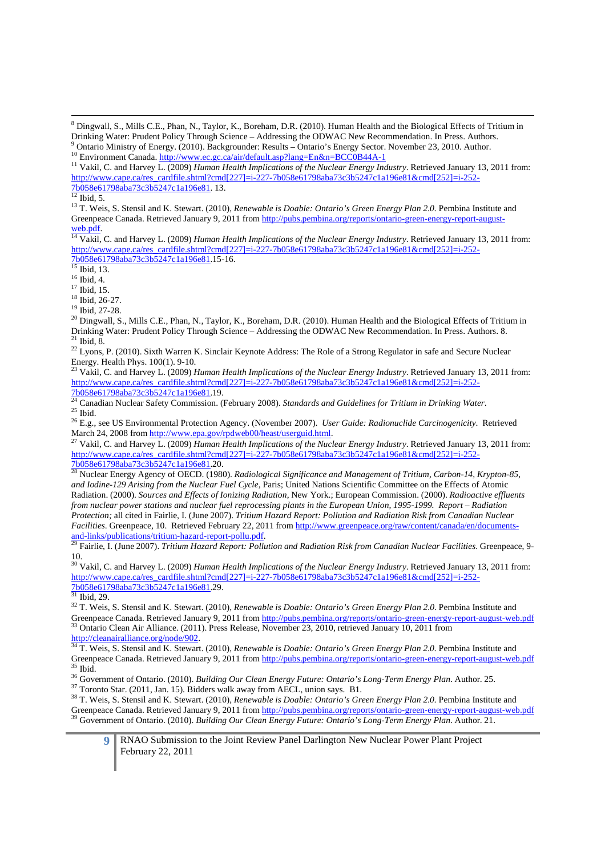$12$  Ibid, 5.

-

<sup>13</sup> T. Weis, S. Stensil and K. Stewart. (2010), *Renewable is Doable: Ontario's Green Energy Plan 2.0.* Pembina Institute and Greenpeace Canada. Retrieved January 9, 2011 from http://pubs.pembina.org/reports/ontario-green-energy-report-augustweb.pdf.

<sup>14</sup> Vakil, C. and Harvey L. (2009) *Human Health Implications of the Nuclear Energy Industry*. Retrieved January 13, 2011 from: http://www.cape.ca/res\_cardfile.shtml?cmd[227]=i-227-7b058e61798aba73c3b5247c1a196e81&cmd[252]=i-252-7b058e61798aba73c3b5247c1a196e81.15-16.

 $15$  Ibid, 13.

<sup>16</sup> Ibid, 4.

 $17$  Ibid, 15.

<sup>18</sup> Ibid, 26-27.

<sup>19</sup> Ibid, 27-28.

 $^{20}$  Dingwall, S., Mills C.E., Phan, N., Taylor, K., Boreham, D.R. (2010). Human Health and the Biological Effects of Tritium in Drinking Water: Prudent Policy Through Science – Addressing the ODWAC New Recommendation. In Press. Authors. 8.  $21$  Ibid, 8.

<sup>22</sup> Lyons, P. (2010). Sixth Warren K. Sinclair Keynote Address: The Role of a Strong Regulator in safe and Secure Nuclear Energy. Health Phys. 100(1). 9-10.

<sup>23</sup> Vakil, C. and Harvey L. (2009) *Human Health Implications of the Nuclear Energy Industry*. Retrieved January 13, 2011 from: http://www.cape.ca/res\_cardfile.shtml?cmd[227]=i-227-7b058e61798aba73c3b5247c1a196e81&cmd[252]=i-252-7b058e61798aba73c3b5247c1a196e81.19.

<sup>24</sup> Canadian Nuclear Safety Commission. (February 2008). *Standards and Guidelines for Tritium in Drinking Water*.  $25$  Ibid.

<sup>26</sup> E.g., see US Environmental Protection Agency. (November 2007). *User Guide: Radionuclide Carcinogenicity*. Retrieved March 24, 2008 from http://www.epa.gov/rpdweb00/heast/userguid.html.

<sup>27</sup> Vakil, C. and Harvey L. (2009) *Human Health Implications of the Nuclear Energy Industry*. Retrieved January 13, 2011 from: http://www.cape.ca/res\_cardfile.shtml?cmd[227]=i-227-7b058e61798aba73c3b5247c1a196e81&cmd[252]=i-252-7b058e61798aba73c3b5247c1a196e81.20.

<sup>28</sup> Nuclear Energy Agency of OECD. (1980). *Radiological Significance and Management of Tritium, Carbon-14, Krypton-85, and Iodine-129 Arising from the Nuclear Fuel Cycle,* Paris; United Nations Scientific Committee on the Effects of Atomic Radiation. (2000). *Sources and Effects of Ionizing Radiation*, New York.; European Commission. (2000). *Radioactive effluents from nuclear power stations and nuclear fuel reprocessing plants in the European Union, 1995-1999. Report – Radiation Protection;* all cited in Fairlie, I. (June 2007). *Tritium Hazard Report: Pollution and Radiation Risk from Canadian Nuclear Facilities*. Greenpeace, 10. Retrieved February 22, 2011 from http://www.greenpeace.org/raw/content/canada/en/documentsand-links/publications/tritium-hazard-report-pollu.pdf.

<sup>29</sup> Fairlie, I. (June 2007). *Tritium Hazard Report: Pollution and Radiation Risk from Canadian Nuclear Facilities*. Greenpeace, 9- 10.

<sup>30</sup> Vakil, C. and Harvey L. (2009) *Human Health Implications of the Nuclear Energy Industry*. Retrieved January 13, 2011 from: http://www.cape.ca/res\_cardfile.shtml?cmd[227]=i-227-7b058e61798aba73c3b5247c1a196e81&cmd[252]=i-252- 7b058e61798aba73c3b5247c1a196e81.29.

 $31$  Ibid, 29.

<sup>32</sup> T. Weis, S. Stensil and K. Stewart. (2010), *Renewable is Doable: Ontario's Green Energy Plan 2.0*. Pembina Institute and Greenpeace Canada. Retrieved January 9, 2011 from http://pubs.pembina.org/reports/ontario-green-energy-report-august-web.pdf <sup>33</sup> Ontario Clean Air Alliance. (2011). Press Release, November 23, 2010, retrieved January 10, 2011 from http://cleanairalliance.org/node/902.

<sup>34</sup> T. Weis, S. Stensil and K. Stewart. (2010), *Renewable is Doable: Ontario's Green Energy Plan 2.0*. Pembina Institute and Greenpeace Canada. Retrieved January 9, 2011 from http://pubs.pembina.org/reports/ontario-green-energy-report-august-web.pdf <sup>35</sup> Ibid.

<sup>36</sup> Government of Ontario. (2010). *Building Our Clean Energy Future: Ontario's Long-Term Energy Plan*. Author. 25.

<sup>37</sup> Toronto Star. (2011, Jan. 15). Bidders walk away from AECL, union says. B1.

<sup>38</sup> T. Weis, S. Stensil and K. Stewart. (2010), *Renewable is Doable: Ontario's Green Energy Plan 2.0.* Pembina Institute and Greenpeace Canada. Retrieved January 9, 2011 from http://pubs.pembina.org/reports/ontario-green-energy-report-august-web.pdf <sup>39</sup> Government of Ontario. (2010). *Building Our Clean Energy Future: Ontario's Long-Term Energy Plan*. Author. 21.

<sup>&</sup>lt;sup>8</sup> Dingwall, S., Mills C.E., Phan, N., Taylor, K., Boreham, D.R. (2010). Human Health and the Biological Effects of Tritium in Drinking Water: Prudent Policy Through Science – Addressing the ODWAC New Recommendation. In Press. Authors. 9 Ontario Ministry of Energy. (2010). Backgrounder: Results – Ontario's Energy Sector. November 23, 2010. Author.

<sup>10</sup> Environment Canada. http://www.ec.gc.ca/air/default.asp?lang=En&n=BCC0B44A-1

<sup>11</sup> Vakil, C. and Harvey L. (2009) *Human Health Implications of the Nuclear Energy Industry*. Retrieved January 13, 2011 from: http://www.cape.ca/res\_cardfile.shtml?cmd[227]=i-227-7b058e61798aba73c3b5247c1a196e81&cmd[252]=i-252- 7b058e61798aba73c3b5247c1a196e81. 13.

**<sup>9</sup>** RNAO Submission to the Joint Review Panel Darlington New Nuclear Power Plant Project February 22, 2011